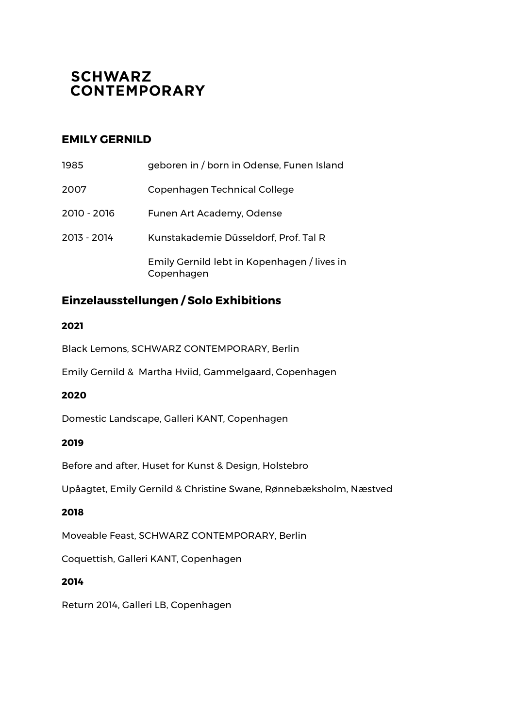# **SCHWARZ CONTEMPORARY**

## **EMILY GERNILD**

| 1985        | geboren in / born in Odense, Funen Island                 |
|-------------|-----------------------------------------------------------|
| 2007        | Copenhagen Technical College                              |
| 2010 - 2016 | Funen Art Academy, Odense                                 |
| 2013 - 2014 | Kunstakademie Düsseldorf, Prof. Tal R                     |
|             | Emily Gernild lebt in Kopenhagen / lives in<br>Copenhagen |

# **Einzelausstellungen / Solo Exhibitions**

### **2021**

Black Lemons, SCHWARZ CONTEMPORARY, Berlin

Emily Gernild & Martha Hviid, Gammelgaard, Copenhagen

#### **2020**

Domestic Landscape, Galleri KANT, Copenhagen

#### **2019**

Before and after, Huset for Kunst & Design, Holstebro

Upåagtet, Emily Gernild & Christine Swane, Rønnebæksholm, Næstved

#### **2018**

Moveable Feast, SCHWARZ CONTEMPORARY, Berlin

Coquettish, Galleri KANT, Copenhagen

### **2014**

Return 2014, Galleri LB, Copenhagen